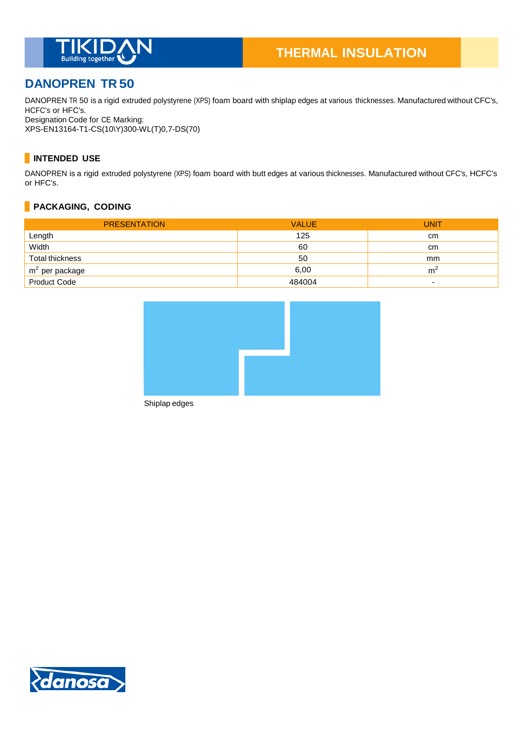

# **DANOPREN TR 50**

DANOPREN TR 50 is a rigid extruded polystyrene (XPS) foam board with shiplap edges at various thicknesses. Manufactured without CFC's, HCFC's or HFC's. Designation Code for CE Marking:

XPS-EN13164-T1-CS(10\Y)300-WL(T)0,7-DS(70)

## **INTENDED USE**

DANOPREN is a rigid extruded polystyrene (XPS) foam board with butt edges at various thicknesses. Manufactured without CFC's, HCFC's or HFC's.

### **PACKAGING, CODING**

| <b>PRESENTATION</b> | <b>VALUE</b> | <b>UNIT</b> |
|---------------------|--------------|-------------|
| Length              | 125          | cm          |
| Width               | 60           | cm          |
| Total thickness     | 50           | mm          |
| $m2$ per package    | 6,00         | m           |
| <b>Product Code</b> | 484004       |             |



Shiplap edges

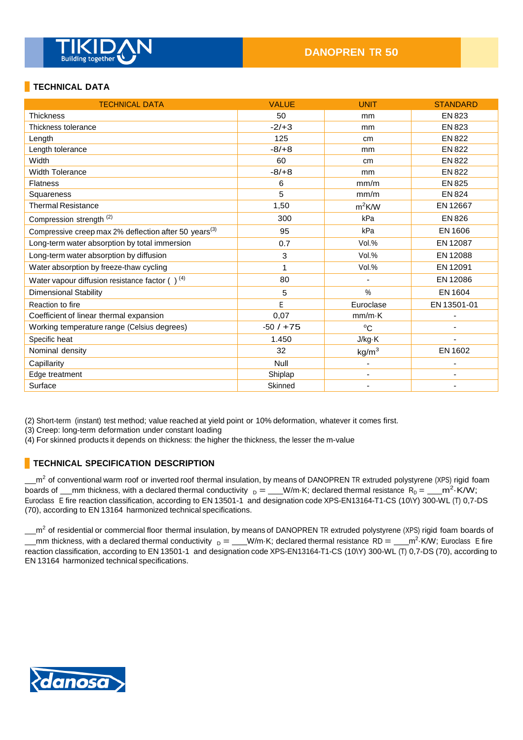

### **TECHNICAL DATA**

| <b>TECHNICAL DATA</b>                                             | <b>VALUE</b> | <b>UNIT</b>              | <b>STANDARD</b> |
|-------------------------------------------------------------------|--------------|--------------------------|-----------------|
| <b>Thickness</b>                                                  | 50           | mm                       | <b>EN 823</b>   |
| Thickness tolerance                                               | $-2/+3$      | mm                       | EN 823          |
| Length                                                            | 125          | cm                       | <b>EN 822</b>   |
| Length tolerance                                                  | $-8/+8$      | mm                       | <b>EN 822</b>   |
| Width                                                             | 60           | cm                       | <b>EN 822</b>   |
| <b>Width Tolerance</b>                                            | $-8/+8$      | mm                       | <b>EN 822</b>   |
| <b>Flatness</b>                                                   | 6            | mm/m                     | EN 825          |
| Squareness                                                        | 5            | mm/m                     | <b>EN 824</b>   |
| <b>Thermal Resistance</b>                                         | 1,50         | $m^2$ K/W                | EN 12667        |
| Compression strength <sup>(2)</sup>                               | 300          | kPa                      | EN 826          |
| Compressive creep max 2% deflection after 50 years <sup>(3)</sup> | 95           | kPa                      | EN 1606         |
| Long-term water absorption by total immersion                     | 0.7          | Vol.%                    | EN 12087        |
| Long-term water absorption by diffusion                           | 3            | Vol.%                    | EN 12088        |
| Water absorption by freeze-thaw cycling                           | 1            | Vol.%                    | EN 12091        |
| Water vapour diffusion resistance factor $( )^{(4)}$              | 80           |                          | EN 12086        |
| <b>Dimensional Stability</b>                                      | 5            | %                        | EN 1604         |
| Reaction to fire                                                  | E            | Euroclase                | EN 13501-01     |
| Coefficient of linear thermal expansion                           | 0,07         | $mm/m\cdot K$            |                 |
| Working temperature range (Celsius degrees)                       | $-50/ + 75$  | $^{\circ}C$              |                 |
| Specific heat                                                     | 1.450        | J/kg·K                   |                 |
| Nominal density                                                   | 32           | kg/m <sup>3</sup>        | EN 1602         |
| Capillarity                                                       | Null         | -                        |                 |
| Edge treatment                                                    | Shiplap      | $\overline{\phantom{a}}$ |                 |
| Surface                                                           | Skinned      |                          |                 |

(2) Short-term (instant) test method; value reached at yield point or 10% deformation, whatever it comes first.

(3) Creep: long-term deformation under constant loading

(4) For skinned products it depends on thickness: the higher the thickness, the lesser the m-value

#### **TECHNICAL SPECIFICATION DESCRIPTION**

m<sup>2</sup> of conventional warm roof or inverted roof thermal insulation, by means of DANOPREN TR extruded polystyrene (XPS) rigid foam boards of \_\_mm thickness, with a declared thermal conductivity  $_D =$  \_\_W/m·K; declared thermal resistance  $R_D =$  \_\_m<sup>2</sup>·K/W; Euroclass E fire reaction classification, according to EN 13501-1 and designation code XPS-EN13164-T1-CS (10\Y) 300-WL (T) 0,7-DS (70), according to EN 13164 harmonized technical specifications.

m<sup>2</sup> of residential or commercial floor thermal insulation, by means of DANOPREN TR extruded polystyrene (XPS) rigid foam boards of mm thickness, with a declared thermal conductivity  $_D =$  W/m·K; declared thermal resistance RD =  $\frac{m^2}{K}$ W; Euroclass E fire reaction classification, according to EN 13501-1 and designation code XPS-EN13164-T1-CS (10\Y) 300-WL (T) 0,7-DS (70), according to EN 13164 harmonized technical specifications.

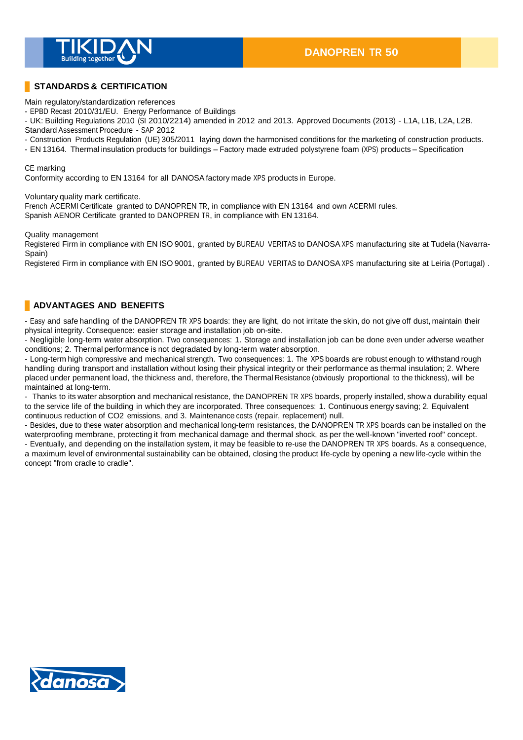

### **STANDARDS & CERTIFICATION**

Main regulatory/standardization references

- EPBD Recast 2010/31/EU. Energy Performance of Buildings

- UK: Building Regulations 2010 (SI 2010/2214) amended in 2012 and 2013. Approved Documents (2013) - L1A, L1B, L2A, L2B. Standard Assessment Procedure - SAP 2012

- Construction Products Regulation (UE) 305/2011 laying down the harmonised conditions for the marketing of construction products.

- EN 13164. Thermal insulation products for buildings – Factory made extruded polystyrene foam (XPS) products – Specification

#### CE marking

Conformity according to EN 13164 for all DANOSA factory made XPS products in Europe.

Voluntary quality mark certificate.

French ACERMI Certificate granted to DANOPREN TR, in compliance with EN 13164 and own ACERMI rules. Spanish AENOR Certificate granted to DANOPREN TR, in compliance with EN 13164.

Quality management

Registered Firm in compliance with EN ISO 9001, granted by BUREAU VERITAS to DANOSA XPS manufacturing site at Tudela (Navarra-Spain)

Registered Firm in compliance with EN ISO 9001, granted by BUREAU VERITAS to DANOSA XPS manufacturing site at Leiria (Portugal) .

### **ADVANTAGES AND BENEFITS**

- Easy and safe handling of the DANOPREN TR XPS boards: they are light, do not irritate the skin, do not give off dust, maintain their physical integrity. Consequence: easier storage and installation job on-site.

- Negligible long-term water absorption. Two consequences: 1. Storage and installation job can be done even under adverse weather conditions; 2. Thermal performance is not degradated by long-term water absorption.

- Long-term high compressive and mechanical strength. Two consequences: 1. The XPS boards are robust enough to withstand rough handling during transport and installation without losing their physical integrity or their performance as thermal insulation; 2. Where placed under permanent load, the thickness and, therefore, the Thermal Resistance (obviously proportional to the thickness), will be maintained at long-term.

- Thanks to its water absorption and mechanical resistance, the DANOPREN TR XPS boards, properly installed, show a durability equal to the service life of the building in which they are incorporated. Three consequences: 1. Continuous energy saving; 2. Equivalent continuous reduction of CO2 emissions, and 3. Maintenance costs (repair, replacement) null.

- Besides, due to these water absorption and mechanical long-term resistances, the DANOPREN TR XPS boards can be installed on the waterproofing membrane, protecting it from mechanical damage and thermal shock, as per the well-known "inverted roof" concept. - Eventually, and depending on the installation system, it may be feasible to re-use the DANOPREN TR XPS boards. As a consequence,

a maximum level of environmental sustainability can be obtained, closing the product life-cycle by opening a new life-cycle within the concept "from cradle to cradle".

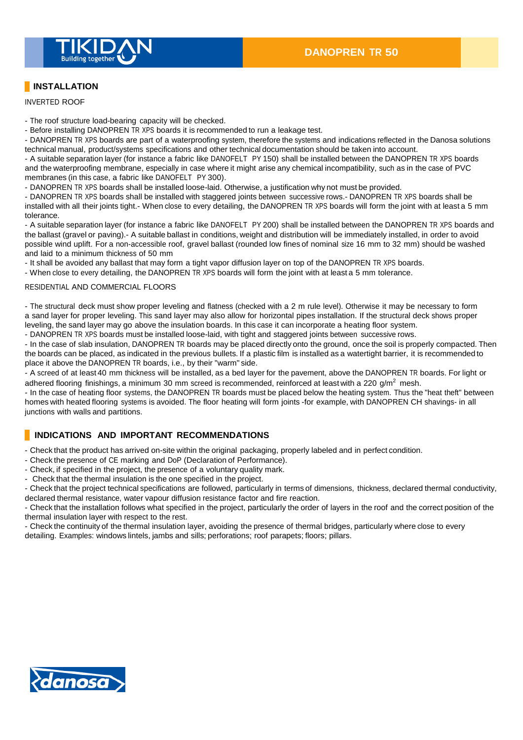

## **INSTALLATION**

INVERTED ROOF

- The roof structure load-bearing capacity will be checked.

- Before installing DANOPREN TR XPS boards it is recommended to run a leakage test.

- DANOPREN TR XPS boards are part of a waterproofing system, therefore the systems and indications reflected in the Danosa solutions technical manual, product/systems specifications and other technical documentation should be taken into account.

- A suitable separation layer (for instance a fabric like DANOFELT PY 150) shall be installed between the DANOPREN TR XPS boards and the waterproofing membrane, especially in case where it might arise any chemical incompatibility, such as in the case of PVC membranes (in this case, a fabric like DANOFELT PY 300).

- DANOPREN TR XPS boards shall be installed loose-laid. Otherwise, a justification why not must be provided.

- DANOPREN TR XPS boards shall be installed with staggered joints between successive rows.- DANOPREN TR XPS boards shall be installed with all their joints tight.- When close to every detailing, the DANOPREN TR XPS boards will form the joint with at least a 5 mm tolerance.

- A suitable separation layer (for instance a fabric like DANOFELT PY 200) shall be installed between the DANOPREN TR XPS boards and the ballast (gravel or paving).- A suitable ballast in conditions, weight and distribution will be immediately installed, in order to avoid possible wind uplift. For a non-accessible roof, gravel ballast (rounded low fines of nominal size 16 mm to 32 mm) should be washed and laid to a minimum thickness of 50 mm

- It shall be avoided any ballast that may form a tight vapor diffusion layer on top of the DANOPREN TR XPS boards.

- When close to every detailing, the DANOPREN TR XPS boards will form the joint with at least a 5 mm tolerance.

#### RESIDENTIAL AND COMMERCIAL FLOORS

- The structural deck must show proper leveling and flatness (checked with a 2 m rule level). Otherwise it may be necessary to form a sand layer for proper leveling. This sand layer may also allow for horizontal pipes installation. If the structural deck shows proper leveling, the sand layer may go above the insulation boards. In this case it can incorporate a heating floor system. - DANOPREN TR XPS boards must be installed loose-laid, with tight and staggered joints between successive rows.

- In the case of slab insulation, DANOPREN TR boards may be placed directly onto the ground, once the soil is properly compacted. Then the boards can be placed, as indicated in the previous bullets. If a plastic film is installed as a watertight barrier, it is recommended to place it above the DANOPREN TR boards, i.e., by their "warm" side.

- A screed of at least 40 mm thickness will be installed, as a bed layer for the pavement, above the DANOPREN TR boards. For light or adhered flooring finishings, a minimum 30 mm screed is recommended, reinforced at least with a 220  $g/m^2$  mesh.

- In the case of heating floor systems, the DANOPREN TR boards must be placed below the heating system. Thus the "heat theft" between homes with heated flooring systems is avoided. The floor heating will form joints -for example, with DANOPREN CH shavings- in all junctions with walls and partitions.

### **INDICATIONS AND IMPORTANT RECOMMENDATIONS**

- Check that the product has arrived on-site within the original packaging, properly labeled and in perfect condition.

- Check the presence of CE marking and DoP (Declaration of Performance).
- Check, if specified in the project, the presence of a voluntary quality mark.
- Check that the thermal insulation is the one specified in the project.

- Check that the project technical specifications are followed, particularly in terms of dimensions, thickness, declared thermal conductivity, declared thermal resistance, water vapour diffusion resistance factor and fire reaction.

- Check that the installation follows what specified in the project, particularly the order of layers in the roof and the correct position of the thermal insulation layer with respect to the rest.

- Check the continuity of the thermal insulation layer, avoiding the presence of thermal bridges, particularly where close to every detailing. Examples: windows lintels, jambs and sills; perforations; roof parapets; floors; pillars.